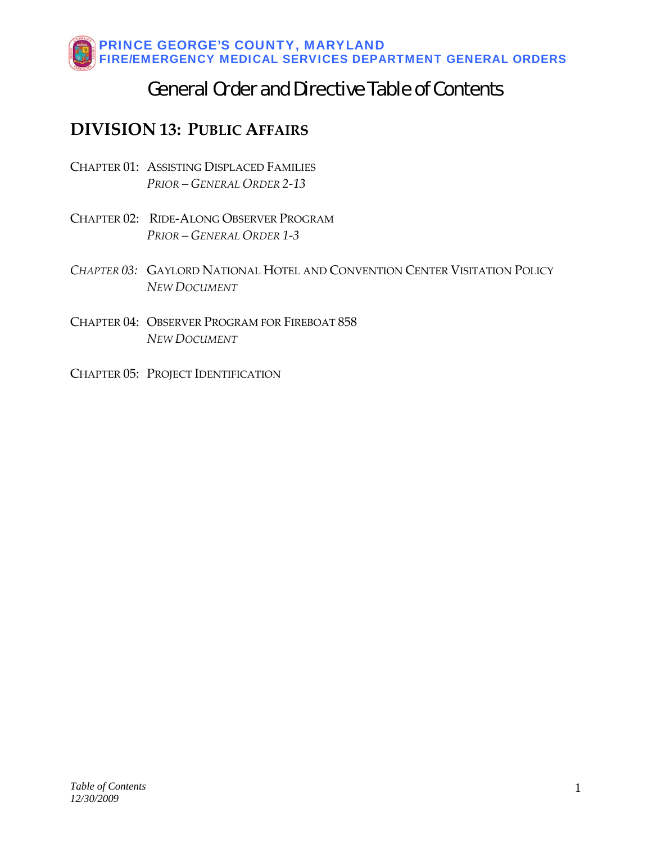## General Order and Directive Table of Contents

### **DIVISION 13: PUBLIC AFFAIRS**

- CHAPTER 01: ASSISTING [DISPLACED](#page-1-0) FAMILIES  *PRIOR – GENERAL ORDER 2‐13*
- CHAPTER 02: RIDE‐ALONG [OBSERVER](#page-4-0) PROGRAM  *PRIOR – GENERAL ORDER 1‐3*
- *CHAPTER 03:* GAYLORD NATIONAL HOTEL AND [CONVENTION](#page-10-0) CENTER VISITATION POLICY  *NEW DOCUMENT*
- CHAPTER 04: OBSERVER PROGRAM FOR FIREBOAT 858  *NEW [DOCUMENT](#page-12-0)*
- CHAPTER 05: PROJECT [IDENTIFICATION](#page-14-0)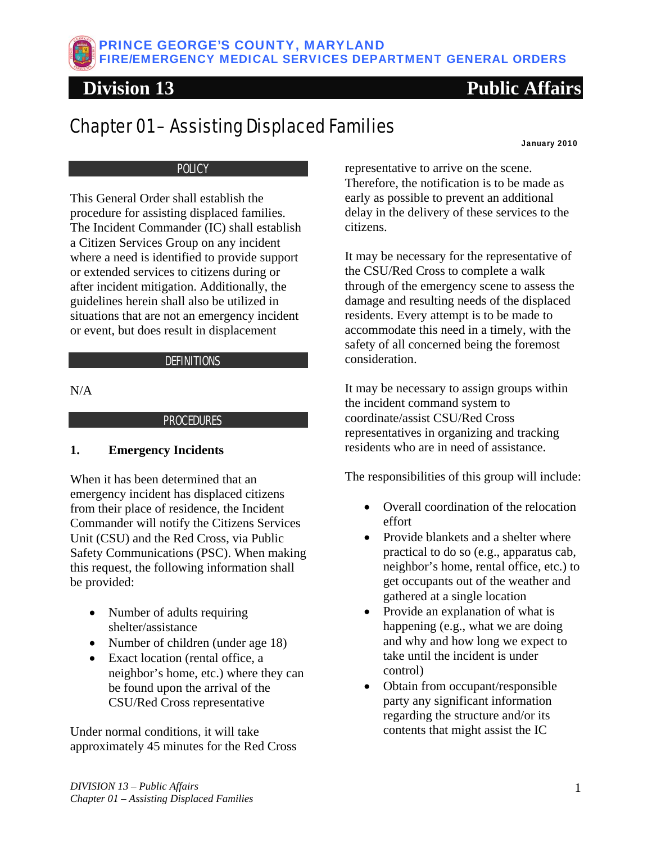<span id="page-1-0"></span>

# Chapter 01 – Assisting Displaced Families

January 2010

### **POLICY**

This General Order shall establish the procedure for assisting displaced families. The Incident Commander (IC) shall establish a Citizen Services Group on any incident where a need is identified to provide support or extended services to citizens during or after incident mitigation. Additionally, the guidelines herein shall also be utilized in situations that are not an emergency incident or event, but does result in displacement

### **DEFINITIONS**

N/A

### PROCEDURES

### **1. Emergency Incidents**

When it has been determined that an emergency incident has displaced citizens from their place of residence, the Incident Commander will notify the Citizens Services Unit (CSU) and the Red Cross, via Public Safety Communications (PSC). When making this request, the following information shall be provided:

- Number of adults requiring shelter/assistance
- Number of children (under age 18)
- Exact location (rental office, a neighbor's home, etc.) where they can be found upon the arrival of the CSU/Red Cross representative

Under normal conditions, it will take approximately 45 minutes for the Red Cross representative to arrive on the scene. Therefore, the notification is to be made as early as possible to prevent an additional delay in the delivery of these services to the citizens.

It may be necessary for the representative of the CSU/Red Cross to complete a walk through of the emergency scene to assess the damage and resulting needs of the displaced residents. Every attempt is to be made to accommodate this need in a timely, with the safety of all concerned being the foremost consideration.

It may be necessary to assign groups within the incident command system to coordinate/assist CSU/Red Cross representatives in organizing and tracking residents who are in need of assistance.

The responsibilities of this group will include:

- Overall coordination of the relocation effort
- Provide blankets and a shelter where practical to do so (e.g., apparatus cab, neighbor's home, rental office, etc.) to get occupants out of the weather and gathered at a single location
- Provide an explanation of what is happening (e.g., what we are doing and why and how long we expect to take until the incident is under control)
- Obtain from occupant/responsible party any significant information regarding the structure and/or its contents that might assist the IC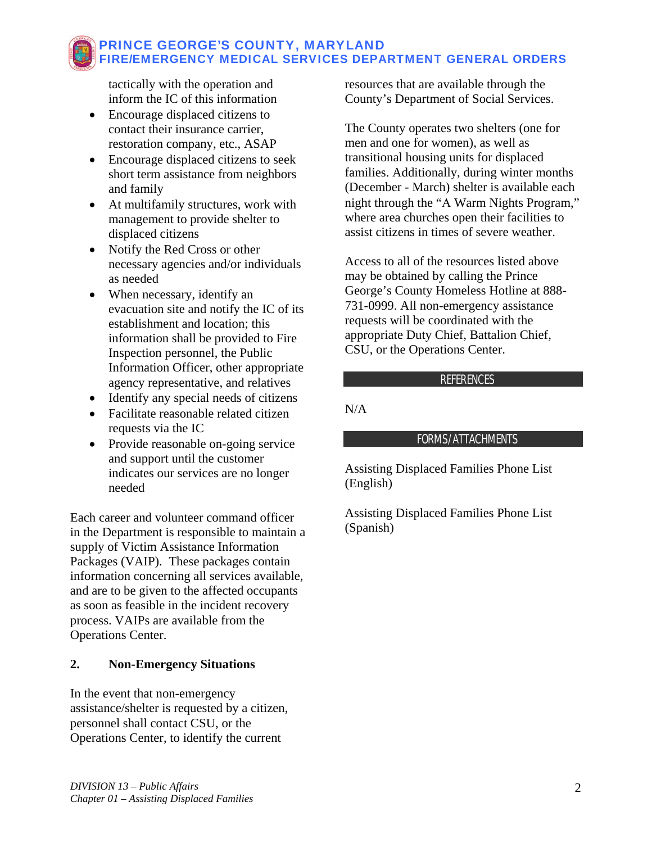tactically with the operation and inform the IC of this information

- Encourage displaced citizens to contact their insurance carrier, restoration company, etc., ASAP
- Encourage displaced citizens to seek short term assistance from neighbors and family
- At multifamily structures, work with management to provide shelter to displaced citizens
- Notify the Red Cross or other necessary agencies and/or individuals as needed
- When necessary, identify an evacuation site and notify the IC of its establishment and location; this information shall be provided to Fire Inspection personnel, the Public Information Officer, other appropriate agency representative, and relatives
- Identify any special needs of citizens
- Facilitate reasonable related citizen requests via the IC
- Provide reasonable on-going service and support until the customer indicates our services are no longer needed

Each career and volunteer command officer in the Department is responsible to maintain a supply of Victim Assistance Information Packages (VAIP). These packages contain information concerning all services available, and are to be given to the affected occupants as soon as feasible in the incident recovery process. VAIPs are available from the Operations Center.

### **2. Non-Emergency Situations**

In the event that non-emergency assistance/shelter is requested by a citizen, personnel shall contact CSU, or the Operations Center, to identify the current

resources that are available through the County's Department of Social Services.

The County operates two shelters (one for men and one for women), as well as transitional housing units for displaced families. Additionally, during winter months (December - March) shelter is available each night through the "Α Warm Nights Program," where area churches open their facilities to assist citizens in times of severe weather.

Access to all of the resources listed above may be obtained by calling the Prince George's County Homeless Hotline at 888- 731-0999. All non-emergency assistance requests will be coordinated with the appropriate Duty Chief, Battalion Chief, CSU, or the Operations Center.

### REFERENCES

N/A

### FORMS/ATTACHMENTS

Assisting Displaced Families Phone List (English)

Assisting Displaced Families Phone List (Spanish)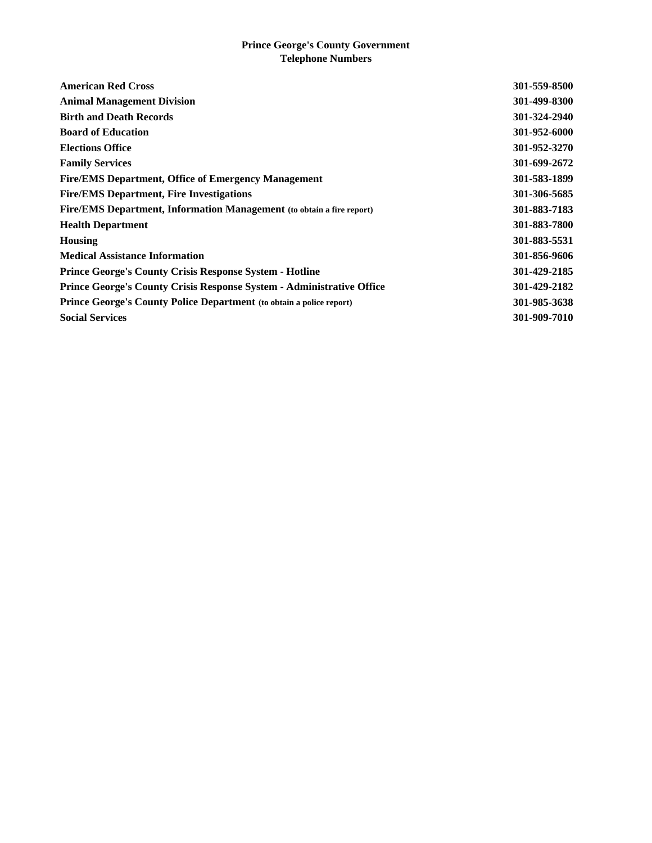#### **Prince George's County Government Telephone Numbers**

| <b>American Red Cross</b>                                                    | 301-559-8500 |
|------------------------------------------------------------------------------|--------------|
| <b>Animal Management Division</b>                                            | 301-499-8300 |
| <b>Birth and Death Records</b>                                               | 301-324-2940 |
| <b>Board of Education</b>                                                    | 301-952-6000 |
| <b>Elections Office</b>                                                      | 301-952-3270 |
| <b>Family Services</b>                                                       | 301-699-2672 |
| <b>Fire/EMS Department, Office of Emergency Management</b>                   | 301-583-1899 |
| <b>Fire/EMS Department, Fire Investigations</b>                              | 301-306-5685 |
| <b>Fire/EMS Department, Information Management</b> (to obtain a fire report) | 301-883-7183 |
| <b>Health Department</b>                                                     | 301-883-7800 |
| <b>Housing</b>                                                               | 301-883-5531 |
| <b>Medical Assistance Information</b>                                        | 301-856-9606 |
| <b>Prince George's County Crisis Response System - Hotline</b>               | 301-429-2185 |
| <b>Prince George's County Crisis Response System - Administrative Office</b> | 301-429-2182 |
| <b>Prince George's County Police Department</b> (to obtain a police report)  | 301-985-3638 |
| <b>Social Services</b>                                                       | 301-909-7010 |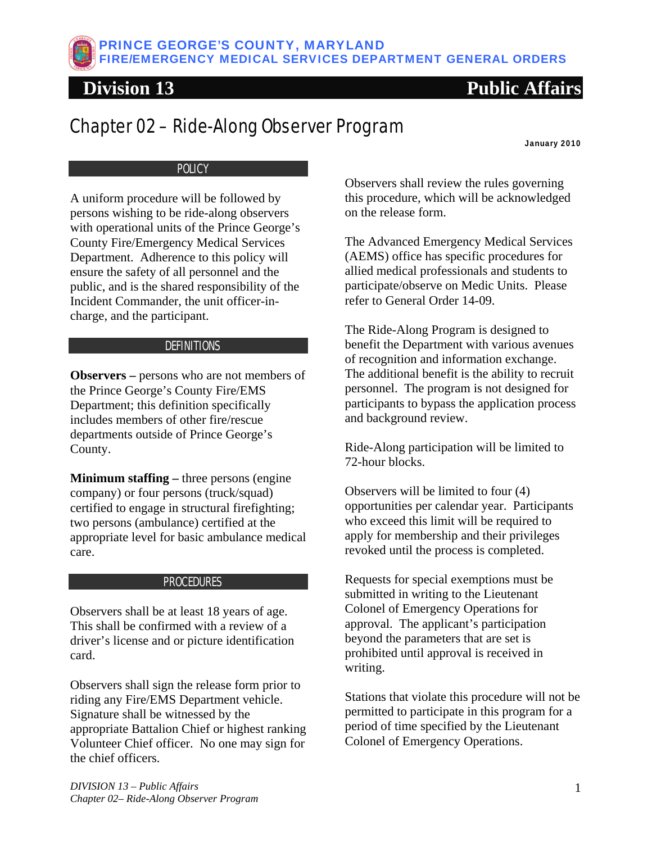# <span id="page-4-0"></span>Chapter 02 – Ride-Along Observer Program

January 2010

### **POLICY**

A uniform procedure will be followed by persons wishing to be ride-along observers with operational units of the Prince George's County Fire/Emergency Medical Services Department. Adherence to this policy will ensure the safety of all personnel and the public, and is the shared responsibility of the Incident Commander, the unit officer-incharge, and the participant.

### **DEFINITIONS**

**Observers –** persons who are not members of the Prince George's County Fire/EMS Department; this definition specifically includes members of other fire/rescue departments outside of Prince George's County.

**Minimum staffing –** three persons (engine company) or four persons (truck/squad) certified to engage in structural firefighting; two persons (ambulance) certified at the appropriate level for basic ambulance medical care.

### **PROCEDURES**

Observers shall be at least 18 years of age. This shall be confirmed with a review of a driver's license and or picture identification card.

Observers shall sign the release form prior to riding any Fire/EMS Department vehicle. Signature shall be witnessed by the appropriate Battalion Chief or highest ranking Volunteer Chief officer. No one may sign for the chief officers.

Observers shall review the rules governing this procedure, which will be acknowledged on the release form.

The Advanced Emergency Medical Services (AEMS) office has specific procedures for allied medical professionals and students to participate/observe on Medic Units. Please refer to General Order 14-09.

The Ride-Along Program is designed to benefit the Department with various avenues of recognition and information exchange. The additional benefit is the ability to recruit personnel. The program is not designed for participants to bypass the application process and background review.

Ride-Along participation will be limited to 72-hour blocks.

Observers will be limited to four (4) opportunities per calendar year. Participants who exceed this limit will be required to apply for membership and their privileges revoked until the process is completed.

Requests for special exemptions must be submitted in writing to the Lieutenant Colonel of Emergency Operations for approval. The applicant's participation beyond the parameters that are set is prohibited until approval is received in writing.

Stations that violate this procedure will not be permitted to participate in this program for a period of time specified by the Lieutenant Colonel of Emergency Operations.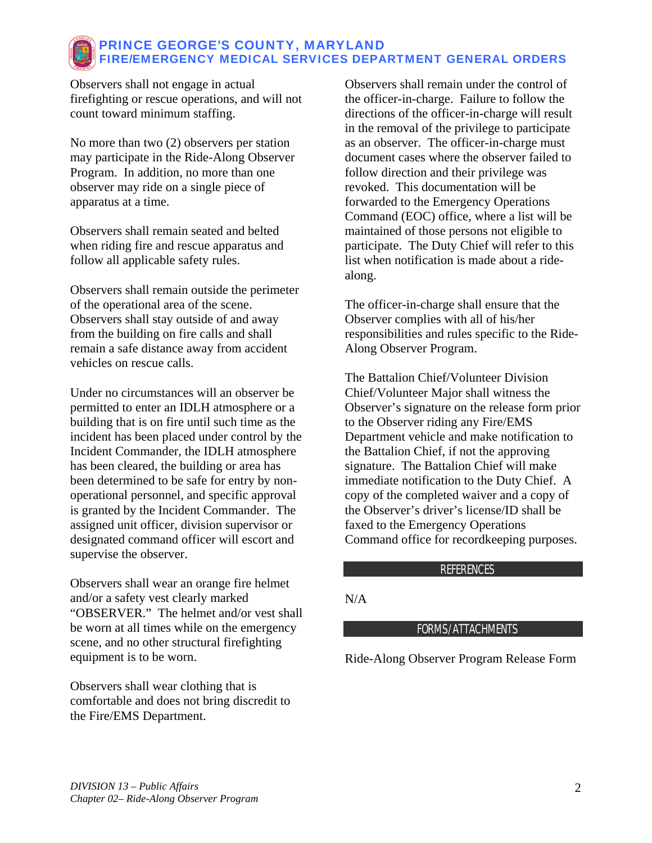Observers shall not engage in actual firefighting or rescue operations, and will not count toward minimum staffing.

No more than two (2) observers per station may participate in the Ride-Along Observer Program. In addition, no more than one observer may ride on a single piece of apparatus at a time.

Observers shall remain seated and belted when riding fire and rescue apparatus and follow all applicable safety rules.

Observers shall remain outside the perimeter of the operational area of the scene. Observers shall stay outside of and away from the building on fire calls and shall remain a safe distance away from accident vehicles on rescue calls.

Under no circumstances will an observer be permitted to enter an IDLH atmosphere or a building that is on fire until such time as the incident has been placed under control by the Incident Commander, the IDLH atmosphere has been cleared, the building or area has been determined to be safe for entry by nonoperational personnel, and specific approval is granted by the Incident Commander. The assigned unit officer, division supervisor or designated command officer will escort and supervise the observer.

Observers shall wear an orange fire helmet and/or a safety vest clearly marked "OBSERVER." The helmet and/or vest shall be worn at all times while on the emergency scene, and no other structural firefighting equipment is to be worn.

Observers shall wear clothing that is comfortable and does not bring discredit to the Fire/EMS Department.

Observers shall remain under the control of the officer-in-charge. Failure to follow the directions of the officer-in-charge will result in the removal of the privilege to participate as an observer. The officer-in-charge must document cases where the observer failed to follow direction and their privilege was revoked. This documentation will be forwarded to the Emergency Operations Command (EOC) office, where a list will be maintained of those persons not eligible to participate. The Duty Chief will refer to this list when notification is made about a ridealong.

The officer-in-charge shall ensure that the Observer complies with all of his/her responsibilities and rules specific to the Ride-Along Observer Program.

The Battalion Chief/Volunteer Division Chief/Volunteer Major shall witness the Observer's signature on the release form prior to the Observer riding any Fire/EMS Department vehicle and make notification to the Battalion Chief, if not the approving signature. The Battalion Chief will make immediate notification to the Duty Chief. A copy of the completed waiver and a copy of the Observer's driver's license/ID shall be faxed to the Emergency Operations Command office for recordkeeping purposes.

### **REFERENCES**

### N/A

### FORMS/ATTACHMENTS

Ride-Along Observer Program Release Form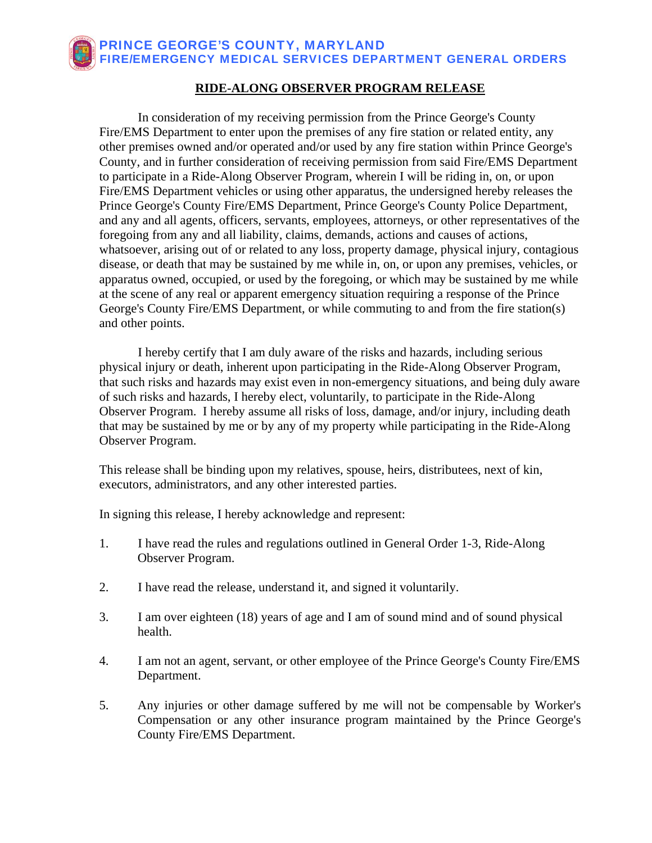### **RIDE-ALONG OBSERVER PROGRAM RELEASE**

 In consideration of my receiving permission from the Prince George's County Fire/EMS Department to enter upon the premises of any fire station or related entity, any other premises owned and/or operated and/or used by any fire station within Prince George's County, and in further consideration of receiving permission from said Fire/EMS Department to participate in a Ride-Along Observer Program, wherein I will be riding in, on, or upon Fire/EMS Department vehicles or using other apparatus, the undersigned hereby releases the Prince George's County Fire/EMS Department, Prince George's County Police Department, and any and all agents, officers, servants, employees, attorneys, or other representatives of the foregoing from any and all liability, claims, demands, actions and causes of actions, whatsoever, arising out of or related to any loss, property damage, physical injury, contagious disease, or death that may be sustained by me while in, on, or upon any premises, vehicles, or apparatus owned, occupied, or used by the foregoing, or which may be sustained by me while at the scene of any real or apparent emergency situation requiring a response of the Prince George's County Fire/EMS Department, or while commuting to and from the fire station(s) and other points.

 I hereby certify that I am duly aware of the risks and hazards, including serious physical injury or death, inherent upon participating in the Ride-Along Observer Program, that such risks and hazards may exist even in non-emergency situations, and being duly aware of such risks and hazards, I hereby elect, voluntarily, to participate in the Ride-Along Observer Program. I hereby assume all risks of loss, damage, and/or injury, including death that may be sustained by me or by any of my property while participating in the Ride-Along Observer Program.

This release shall be binding upon my relatives, spouse, heirs, distributees, next of kin, executors, administrators, and any other interested parties.

In signing this release, I hereby acknowledge and represent:

- 1. I have read the rules and regulations outlined in General Order 1-3, Ride-Along Observer Program.
- 2. I have read the release, understand it, and signed it voluntarily.
- 3. I am over eighteen (18) years of age and I am of sound mind and of sound physical health.
- 4. I am not an agent, servant, or other employee of the Prince George's County Fire/EMS Department.
- 5. Any injuries or other damage suffered by me will not be compensable by Worker's Compensation or any other insurance program maintained by the Prince George's County Fire/EMS Department.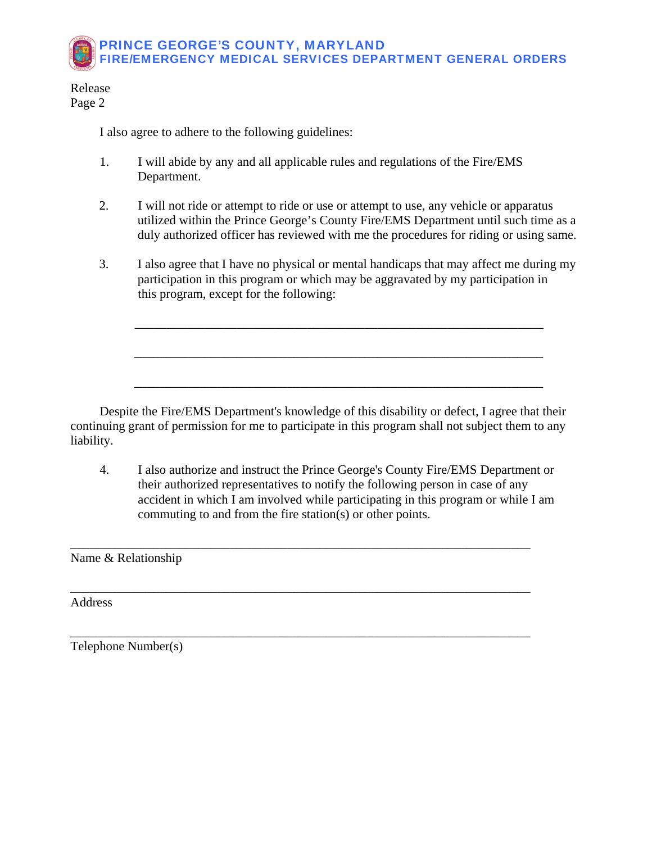Release Page 2

I also agree to adhere to the following guidelines:

- 1. I will abide by any and all applicable rules and regulations of the Fire/EMS Department.
- 2. I will not ride or attempt to ride or use or attempt to use, any vehicle or apparatus utilized within the Prince George's County Fire/EMS Department until such time as a duly authorized officer has reviewed with me the procedures for riding or using same.
- 3. I also agree that I have no physical or mental handicaps that may affect me during my participation in this program or which may be aggravated by my participation in this program, except for the following:

 Despite the Fire/EMS Department's knowledge of this disability or defect, I agree that their continuing grant of permission for me to participate in this program shall not subject them to any liability.

\_\_\_\_\_\_\_\_\_\_\_\_\_\_\_\_\_\_\_\_\_\_\_\_\_\_\_\_\_\_\_\_\_\_\_\_\_\_\_\_\_\_\_\_\_\_\_\_\_\_\_\_\_\_\_\_\_\_\_\_\_\_\_\_

\_\_\_\_\_\_\_\_\_\_\_\_\_\_\_\_\_\_\_\_\_\_\_\_\_\_\_\_\_\_\_\_\_\_\_\_\_\_\_\_\_\_\_\_\_\_\_\_\_\_\_\_\_\_\_\_\_\_\_\_\_\_\_\_

\_\_\_\_\_\_\_\_\_\_\_\_\_\_\_\_\_\_\_\_\_\_\_\_\_\_\_\_\_\_\_\_\_\_\_\_\_\_\_\_\_\_\_\_\_\_\_\_\_\_\_\_\_\_\_\_\_\_\_\_\_\_\_\_

 4. I also authorize and instruct the Prince George's County Fire/EMS Department or their authorized representatives to notify the following person in case of any accident in which I am involved while participating in this program or while I am commuting to and from the fire station(s) or other points.

\_\_\_\_\_\_\_\_\_\_\_\_\_\_\_\_\_\_\_\_\_\_\_\_\_\_\_\_\_\_\_\_\_\_\_\_\_\_\_\_\_\_\_\_\_\_\_\_\_\_\_\_\_\_\_\_\_\_\_\_\_\_\_\_\_\_\_\_\_\_\_\_

\_\_\_\_\_\_\_\_\_\_\_\_\_\_\_\_\_\_\_\_\_\_\_\_\_\_\_\_\_\_\_\_\_\_\_\_\_\_\_\_\_\_\_\_\_\_\_\_\_\_\_\_\_\_\_\_\_\_\_\_\_\_\_\_\_\_\_\_\_\_\_\_

\_\_\_\_\_\_\_\_\_\_\_\_\_\_\_\_\_\_\_\_\_\_\_\_\_\_\_\_\_\_\_\_\_\_\_\_\_\_\_\_\_\_\_\_\_\_\_\_\_\_\_\_\_\_\_\_\_\_\_\_\_\_\_\_\_\_\_\_\_\_\_\_

Name & Relationship

Address

Telephone Number(s)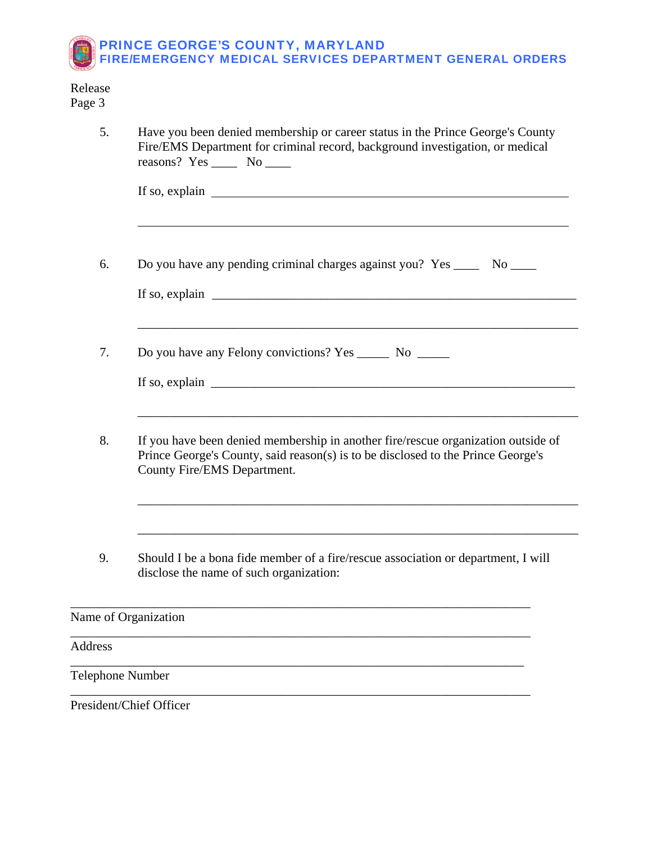### Release Page 3

| 5.                      | Have you been denied membership or career status in the Prince George's County<br>Fire/EMS Department for criminal record, background investigation, or medical<br>reasons? Yes _______ No _____              |  |  |
|-------------------------|---------------------------------------------------------------------------------------------------------------------------------------------------------------------------------------------------------------|--|--|
|                         | If so, explain $\Box$                                                                                                                                                                                         |  |  |
| 6.                      | Do you have any pending criminal charges against you? Yes _______ No _____<br>If so, explain $\Box$                                                                                                           |  |  |
| 7.                      | <u> 1989 - Johann Harry Harry Harry Harry Harry Harry Harry Harry Harry Harry Harry Harry Harry Harry Harry Harry</u><br>Do you have any Felony convictions? Yes ________ No _______<br>If so, explain $\Box$ |  |  |
| 8.                      | If you have been denied membership in another fire/rescue organization outside of<br>Prince George's County, said reason(s) is to be disclosed to the Prince George's<br>County Fire/EMS Department.          |  |  |
| 9.                      | Should I be a bona fide member of a fire/rescue association or department, I will<br>disclose the name of such organization:                                                                                  |  |  |
|                         | Name of Organization                                                                                                                                                                                          |  |  |
| Address                 |                                                                                                                                                                                                               |  |  |
| <b>Telephone Number</b> |                                                                                                                                                                                                               |  |  |
|                         |                                                                                                                                                                                                               |  |  |

President/Chief Officer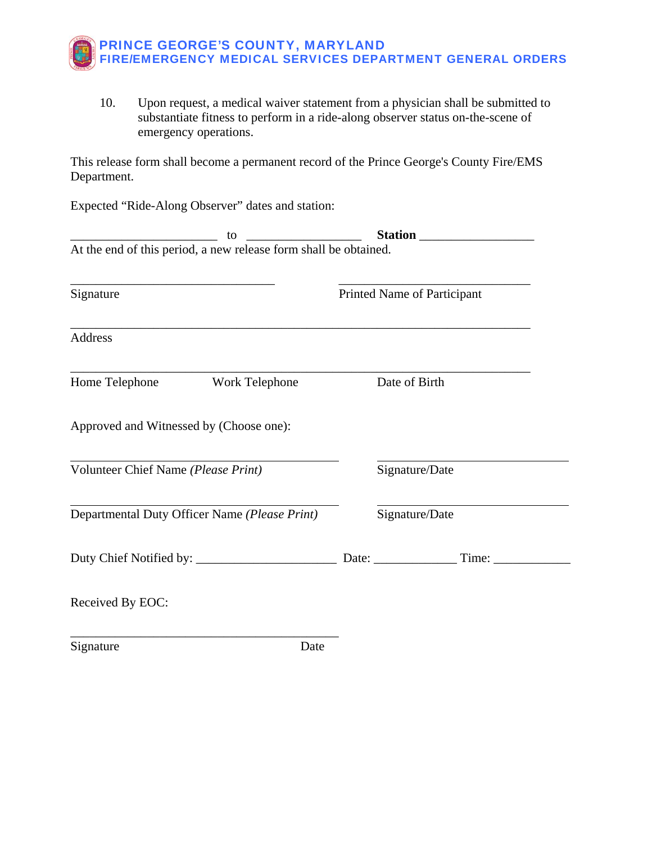

 10. Upon request, a medical waiver statement from a physician shall be submitted to substantiate fitness to perform in a ride-along observer status on-the-scene of emergency operations.

This release form shall become a permanent record of the Prince George's County Fire/EMS Department.

Expected "Ride-Along Observer" dates and station:

| At the end of this period, a new release form shall be obtained. |                             |
|------------------------------------------------------------------|-----------------------------|
| Signature                                                        | Printed Name of Participant |
| Address                                                          |                             |
| Home Telephone<br><b>Work Telephone</b>                          | Date of Birth               |
| Approved and Witnessed by (Choose one):                          |                             |
| Volunteer Chief Name (Please Print)                              | Signature/Date              |
| Departmental Duty Officer Name (Please Print)                    | Signature/Date              |
|                                                                  |                             |
| Received By EOC:                                                 |                             |
|                                                                  |                             |

Signature Date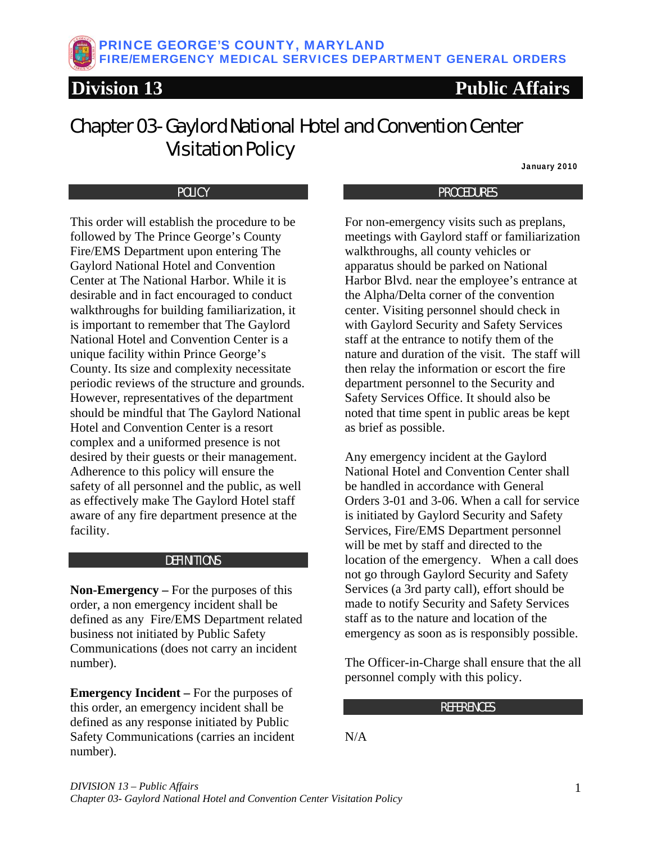## <span id="page-10-0"></span>Chapter 03- Gaylord National Hotel and Convention Center Visitation Policy

January 2010

### POLICY

This order will establish the procedure to be followed by The Prince George's County Fire/EMS Department upon entering The Gaylord National Hotel and Convention Center at The National Harbor. While it is desirable and in fact encouraged to conduct walkthroughs for building familiarization, it is important to remember that The Gaylord National Hotel and Convention Center is a unique facility within Prince George's County. Its size and complexity necessitate periodic reviews of the structure and grounds. However, representatives of the department should be mindful that The Gaylord National Hotel and Convention Center is a resort complex and a uniformed presence is not desired by their guests or their management. Adherence to this policy will ensure the safety of all personnel and the public, as well as effectively make The Gaylord Hotel staff aware of any fire department presence at the facility.

#### **DEFINITIONS**

**Non-Emergency –** For the purposes of this order, a non emergency incident shall be defined as any Fire/EMS Department related business not initiated by Public Safety Communications (does not carry an incident number).

**Emergency Incident –** For the purposes of this order, an emergency incident shall be defined as any response initiated by Public Safety Communications (carries an incident number).

#### PROCEDURES

For non-emergency visits such as preplans, meetings with Gaylord staff or familiarization walkthroughs, all county vehicles or apparatus should be parked on National Harbor Blvd. near the employee's entrance at the Alpha/Delta corner of the convention center. Visiting personnel should check in with Gaylord Security and Safety Services staff at the entrance to notify them of the nature and duration of the visit. The staff will then relay the information or escort the fire department personnel to the Security and Safety Services Office. It should also be noted that time spent in public areas be kept as brief as possible.

Any emergency incident at the Gaylord National Hotel and Convention Center shall be handled in accordance with General Orders 3-01 and 3-06. When a call for service is initiated by Gaylord Security and Safety Services, Fire/EMS Department personnel will be met by staff and directed to the location of the emergency. When a call does not go through Gaylord Security and Safety Services (a 3rd party call), effort should be made to notify Security and Safety Services staff as to the nature and location of the emergency as soon as is responsibly possible.

The Officer-in-Charge shall ensure that the all personnel comply with this policy.

#### **REFERENCES**

N/A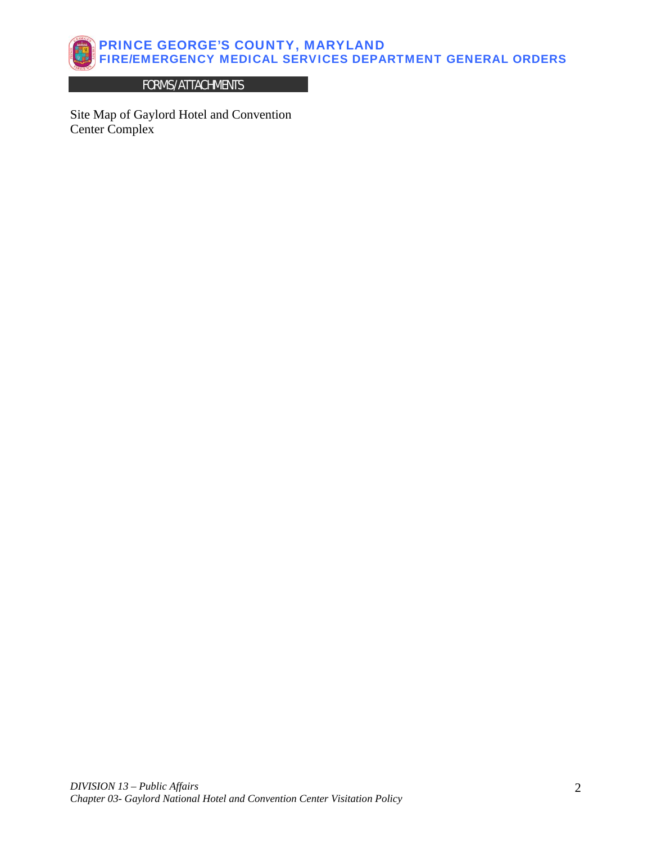

### FORMS/ATTACHMENTS

Site Map of Gaylord Hotel and Convention Center Complex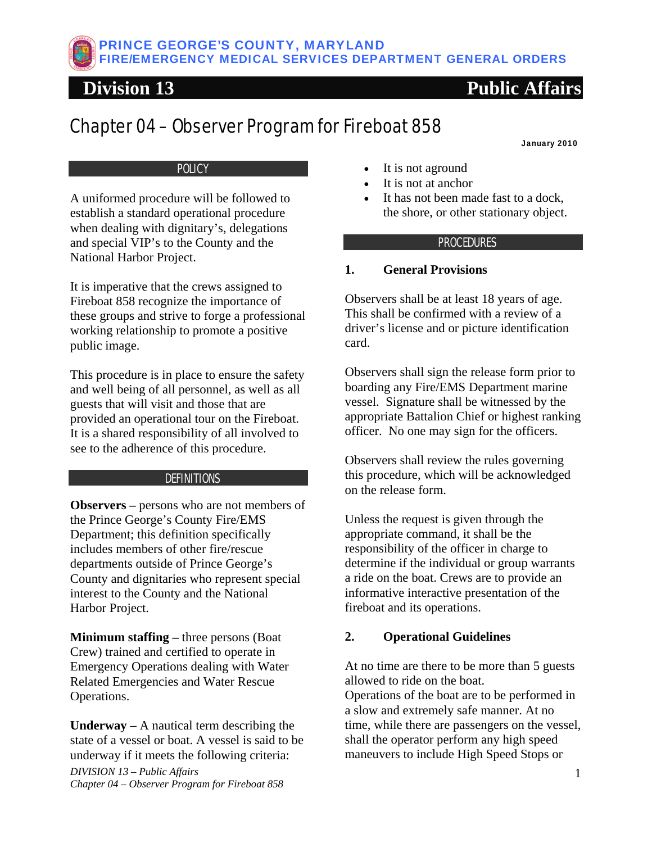## <span id="page-12-0"></span>Chapter 04 – Observer Program for Fireboat 858

January 2010

### **POLICY**

A uniformed procedure will be followed to establish a standard operational procedure when dealing with dignitary's, delegations and special VIP's to the County and the National Harbor Project.

It is imperative that the crews assigned to Fireboat 858 recognize the importance of these groups and strive to forge a professional working relationship to promote a positive public image.

This procedure is in place to ensure the safety and well being of all personnel, as well as all guests that will visit and those that are provided an operational tour on the Fireboat. It is a shared responsibility of all involved to see to the adherence of this procedure.

### **DEFINITIONS**

**Observers –** persons who are not members of the Prince George's County Fire/EMS Department; this definition specifically includes members of other fire/rescue departments outside of Prince George's County and dignitaries who represent special interest to the County and the National Harbor Project.

**Minimum staffing –** three persons (Boat Crew) trained and certified to operate in Emergency Operations dealing with Water Related Emergencies and Water Rescue Operations.

**Underway –** A nautical term describing the state of a [vessel](http://en.wikipedia.org/wiki/Boat) or boat. A vessel is said to be underway if it meets the following criteria:

*DIVISION 13 – Public Affairs* 1 *Chapter 04 – Observer Program for Fireboat 858* 

- It is not aground
- It is not at anchor
- It has not been made fast to a [dock,](http://en.wikipedia.org/wiki/Dock_(maritime)) the shore, or other stationary object.

### **PROCEDURES**

### **1. General Provisions**

Observers shall be at least 18 years of age. This shall be confirmed with a review of a driver's license and or picture identification card.

Observers shall sign the release form prior to boarding any Fire/EMS Department marine vessel. Signature shall be witnessed by the appropriate Battalion Chief or highest ranking officer. No one may sign for the officers.

Observers shall review the rules governing this procedure, which will be acknowledged on the release form.

Unless the request is given through the appropriate command, it shall be the responsibility of the officer in charge to determine if the individual or group warrants a ride on the boat. Crews are to provide an informative interactive presentation of the fireboat and its operations.

### **2. Operational Guidelines**

At no time are there to be more than 5 guests allowed to ride on the boat. Operations of the boat are to be performed in a slow and extremely safe manner. At no time, while there are passengers on the vessel, shall the operator perform any high speed maneuvers to include High Speed Stops or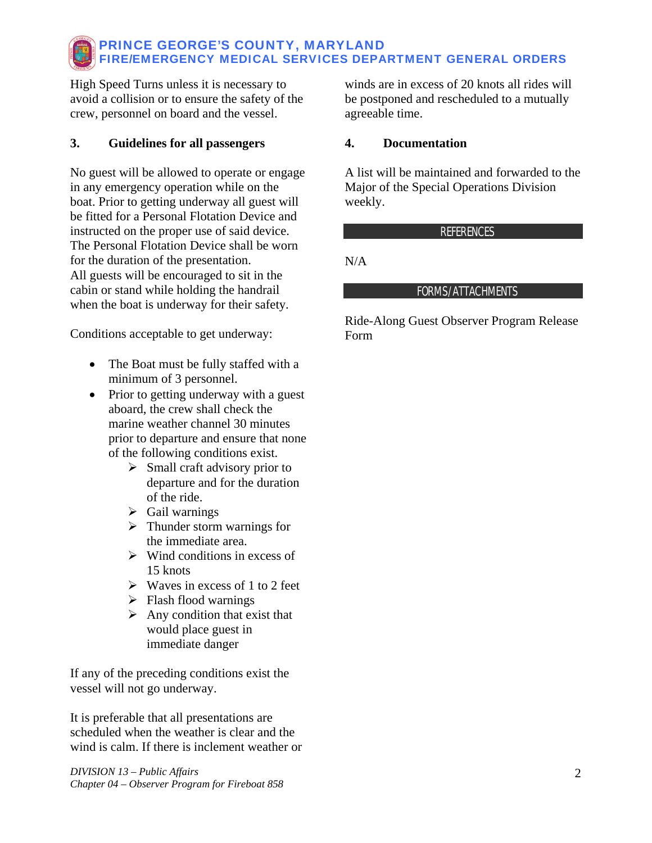High Speed Turns unless it is necessary to avoid a collision or to ensure the safety of the crew, personnel on board and the vessel.

### **3. Guidelines for all passengers**

No guest will be allowed to operate or engage in any emergency operation while on the boat. Prior to getting underway all guest will be fitted for a Personal Flotation Device and instructed on the proper use of said device. The Personal Flotation Device shall be worn for the duration of the presentation. All guests will be encouraged to sit in the cabin or stand while holding the handrail when the boat is underway for their safety.

Conditions acceptable to get underway:

- The Boat must be fully staffed with a minimum of 3 personnel.
- Prior to getting underway with a guest aboard, the crew shall check the marine weather channel 30 minutes prior to departure and ensure that none of the following conditions exist.
	- $\triangleright$  Small craft advisory prior to departure and for the duration of the ride.
	- $\triangleright$  Gail warnings
	- $\triangleright$  Thunder storm warnings for the immediate area.
	- $\triangleright$  Wind conditions in excess of 15 knots
	- $\triangleright$  Waves in excess of 1 to 2 feet
	- $\triangleright$  Flash flood warnings
	- $\triangleright$  Any condition that exist that would place guest in immediate danger

If any of the preceding conditions exist the vessel will not go underway.

It is preferable that all presentations are scheduled when the weather is clear and the wind is calm. If there is inclement weather or

*DIVISION 13 – Public Affairs* 2 *Chapter 04 – Observer Program for Fireboat 858* 

winds are in excess of 20 knots all rides will be postponed and rescheduled to a mutually agreeable time.

### **4. Documentation**

A list will be maintained and forwarded to the Major of the Special Operations Division weekly.

### REFERENCES

N/A

### FORMS/ATTACHMENTS

Ride-Along Guest Observer Program Release Form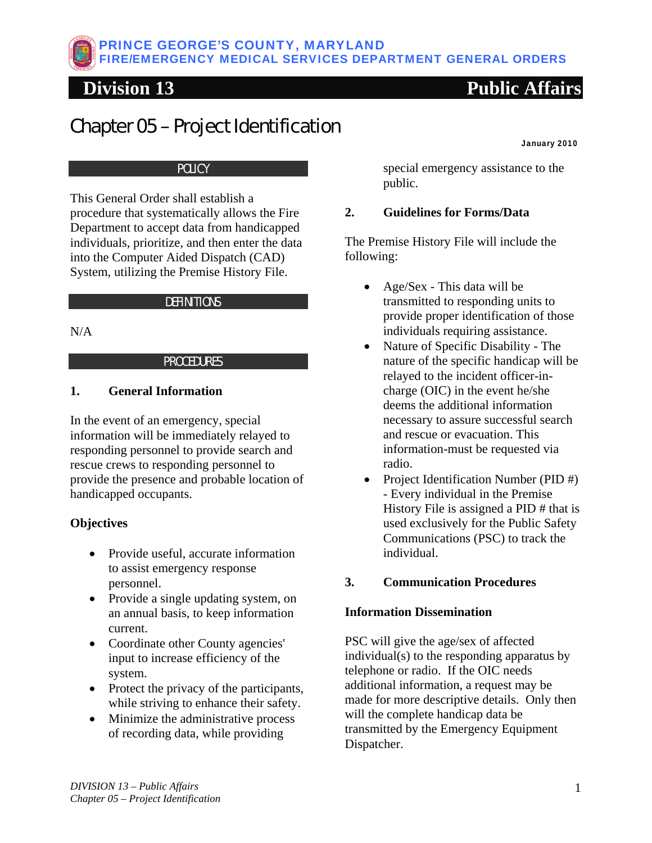# <span id="page-14-0"></span>Chapter 05 – Project Identification

January 2010

### **POLICY**

This General Order shall establish a procedure that systematically allows the Fire Department to accept data from handicapped individuals, prioritize, and then enter the data into the Computer Aided Dispatch (CAD) System, utilizing the Premise History File.

### **DEFINITIONS**

### $N/A$

### PROCEDURES

### **1. General Information**

In the event of an emergency, special information will be immediately relayed to responding personnel to provide search and rescue crews to responding personnel to provide the presence and probable location of handicapped occupants.

### **Objectives**

- Provide useful, accurate information to assist emergency response personnel.
- Provide a single updating system, on an annual basis, to keep information current.
- Coordinate other County agencies' input to increase efficiency of the system.
- Protect the privacy of the participants, while striving to enhance their safety.
- Minimize the administrative process of recording data, while providing

special emergency assistance to the public.

### **2. Guidelines for Forms/Data**

The Premise History File will include the following:

- Age/Sex This data will be transmitted to responding units to provide proper identification of those individuals requiring assistance.
- Nature of Specific Disability The nature of the specific handicap will be relayed to the incident officer-incharge (OIC) in the event he/she deems the additional information necessary to assure successful search and rescue or evacuation. This information-must be requested via radio.
- Project Identification Number (PID #) - Every individual in the Premise History File is assigned a PID # that is used exclusively for the Public Safety Communications (PSC) to track the individual.

### **3. Communication Procedures**

### **Information Dissemination**

PSC will give the age/sex of affected individual(s) to the responding apparatus by telephone or radio. If the OIC needs additional information, a request may be made for more descriptive details. Only then will the complete handicap data be transmitted by the Emergency Equipment Dispatcher.